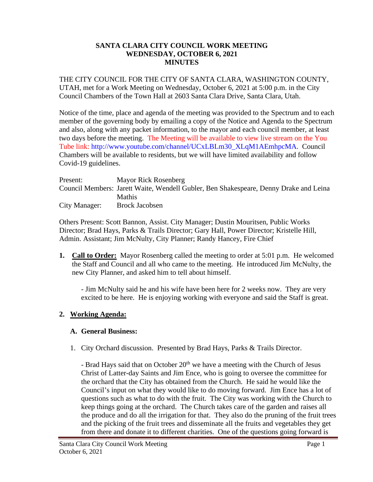### **SANTA CLARA CITY COUNCIL WORK MEETING WEDNESDAY, OCTOBER 6, 2021 MINUTES**

THE CITY COUNCIL FOR THE CITY OF SANTA CLARA, WASHINGTON COUNTY, UTAH, met for a Work Meeting on Wednesday, October 6, 2021 at 5:00 p.m. in the City Council Chambers of the Town Hall at 2603 Santa Clara Drive, Santa Clara, Utah.

Notice of the time, place and agenda of the meeting was provided to the Spectrum and to each member of the governing body by emailing a copy of the Notice and Agenda to the Spectrum and also, along with any packet information, to the mayor and each council member, at least two days before the meeting. The Meeting will be available to view live stream on the You Tube link: http://www.youtube.com/channel/UCxLBLm30\_XLqM1AEmhpcMA. Council Chambers will be available to residents, but we will have limited availability and follow Covid-19 guidelines.

| Present:      | Mayor Rick Rosenberg                                                                  |
|---------------|---------------------------------------------------------------------------------------|
|               | Council Members: Jarett Waite, Wendell Gubler, Ben Shakespeare, Denny Drake and Leina |
|               | <b>Mathis</b>                                                                         |
| City Manager: | Brock Jacobsen                                                                        |

Others Present: Scott Bannon, Assist. City Manager; Dustin Mouritsen, Public Works Director; Brad Hays, Parks & Trails Director; Gary Hall, Power Director; Kristelle Hill, Admin. Assistant; Jim McNulty, City Planner; Randy Hancey, Fire Chief

**1. Call to Order:** Mayor Rosenberg called the meeting to order at 5:01 p.m. He welcomed the Staff and Council and all who came to the meeting. He introduced Jim McNulty, the new City Planner, and asked him to tell about himself.

- Jim McNulty said he and his wife have been here for 2 weeks now. They are very excited to be here. He is enjoying working with everyone and said the Staff is great.

# **2. Working Agenda:**

# **A. General Business:**

1. City Orchard discussion. Presented by Brad Hays, Parks & Trails Director.

- Brad Hays said that on October  $20<sup>th</sup>$  we have a meeting with the Church of Jesus Christ of Latter-day Saints and Jim Ence, who is going to oversee the committee for the orchard that the City has obtained from the Church. He said he would like the Council's input on what they would like to do moving forward. Jim Ence has a lot of questions such as what to do with the fruit. The City was working with the Church to keep things going at the orchard. The Church takes care of the garden and raises all the produce and do all the irrigation for that. They also do the pruning of the fruit trees and the picking of the fruit trees and disseminate all the fruits and vegetables they get from there and donate it to different charities. One of the questions going forward is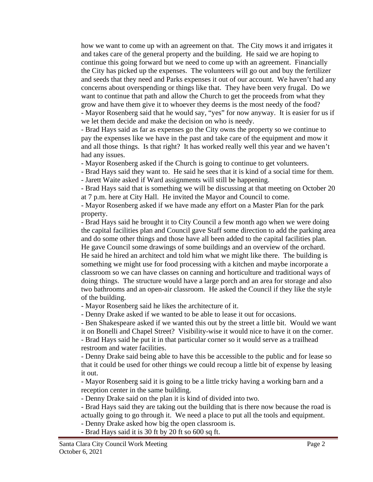how we want to come up with an agreement on that. The City mows it and irrigates it and takes care of the general property and the building. He said we are hoping to continue this going forward but we need to come up with an agreement. Financially the City has picked up the expenses. The volunteers will go out and buy the fertilizer and seeds that they need and Parks expenses it out of our account. We haven't had any concerns about overspending or things like that. They have been very frugal. Do we want to continue that path and allow the Church to get the proceeds from what they grow and have them give it to whoever they deems is the most needy of the food? - Mayor Rosenberg said that he would say, "yes" for now anyway. It is easier for us if we let them decide and make the decision on who is needy.

- Brad Hays said as far as expenses go the City owns the property so we continue to pay the expenses like we have in the past and take care of the equipment and mow it and all those things. Is that right? It has worked really well this year and we haven't had any issues.

- Mayor Rosenberg asked if the Church is going to continue to get volunteers.

- Brad Hays said they want to. He said he sees that it is kind of a social time for them.

- Jarett Waite asked if Ward assignments will still be happening.

- Brad Hays said that is something we will be discussing at that meeting on October 20 at 7 p.m. here at City Hall. He invited the Mayor and Council to come.

- Mayor Rosenberg asked if we have made any effort on a Master Plan for the park property.

- Brad Hays said he brought it to City Council a few month ago when we were doing the capital facilities plan and Council gave Staff some direction to add the parking area and do some other things and those have all been added to the capital facilities plan. He gave Council some drawings of some buildings and an overview of the orchard. He said he hired an architect and told him what we might like there. The building is something we might use for food processing with a kitchen and maybe incorporate a classroom so we can have classes on canning and horticulture and traditional ways of doing things. The structure would have a large porch and an area for storage and also two bathrooms and an open-air classroom. He asked the Council if they like the style of the building.

- Mayor Rosenberg said he likes the architecture of it.

- Denny Drake asked if we wanted to be able to lease it out for occasions.

- Ben Shakespeare asked if we wanted this out by the street a little bit. Would we want it on Bonelli and Chapel Street? Visibility-wise it would nice to have it on the corner. - Brad Hays said he put it in that particular corner so it would serve as a trailhead restroom and water facilities.

- Denny Drake said being able to have this be accessible to the public and for lease so that it could be used for other things we could recoup a little bit of expense by leasing it out.

- Mayor Rosenberg said it is going to be a little tricky having a working barn and a reception center in the same building.

- Denny Drake said on the plan it is kind of divided into two.

- Brad Hays said they are taking out the building that is there now because the road is actually going to go through it. We need a place to put all the tools and equipment.

- Denny Drake asked how big the open classroom is.
- Brad Hays said it is 30 ft by 20 ft so 600 sq ft.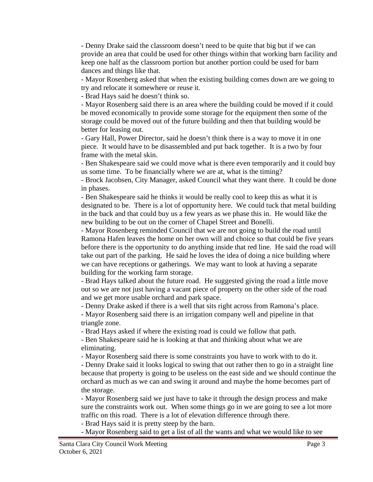- Denny Drake said the classroom doesn't need to be quite that big but if we can provide an area that could be used for other things within that working barn facility and keep one half as the classroom portion but another portion could be used for barn dances and things like that.

- Mayor Rosenberg asked that when the existing building comes down are we going to try and relocate it somewhere or reuse it.

- Brad Hays said he doesn't think so.

- Mayor Rosenberg said there is an area where the building could be moved if it could be moved economically to provide some storage for the equipment then some of the storage could be moved out of the future building and then that building would be better for leasing out.

- Gary Hall, Power Director, said he doesn't think there is a way to move it in one piece. It would have to be disassembled and put back together. It is a two by four frame with the metal skin.

- Ben Shakespeare said we could move what is there even temporarily and it could buy us some time. To be financially where we are at, what is the timing?

- Brock Jacobsen, City Manager, asked Council what they want there. It could be done in phases.

- Ben Shakespeare said he thinks it would be really cool to keep this as what it is designated to be. There is a lot of opportunity here. We could tuck that metal building in the back and that could buy us a few years as we phase this in. He would like the new building to be out on the corner of Chapel Street and Bonelli.

- Mayor Rosenberg reminded Council that we are not going to build the road until Ramona Hafen leaves the home on her own will and choice so that could be five years before there is the opportunity to do anything inside that red line. He said the road will take out part of the parking. He said he loves the idea of doing a nice building where we can have receptions or gatherings. We may want to look at having a separate building for the working farm storage.

- Brad Hays talked about the future road. He suggested giving the road a little move out so we are not just having a vacant piece of property on the other side of the road and we get more usable orchard and park space.

- Denny Drake asked if there is a well that sits right across from Ramona's place.

- Mayor Rosenberg said there is an irrigation company well and pipeline in that triangle zone.

- Brad Hays asked if where the existing road is could we follow that path.

- Ben Shakespeare said he is looking at that and thinking about what we are eliminating.

- Mayor Rosenberg said there is some constraints you have to work with to do it.

- Denny Drake said it looks logical to swing that out rather then to go in a straight line because that property is going to be useless on the east side and we should continue the orchard as much as we can and swing it around and maybe the home becomes part of the storage.

- Mayor Rosenberg said we just have to take it through the design process and make sure the constraints work out. When some things go in we are going to see a lot more traffic on this road. There is a lot of elevation difference through there.

- Brad Hays said it is pretty steep by the barn.

- Mayor Rosenberg said to get a list of all the wants and what we would like to see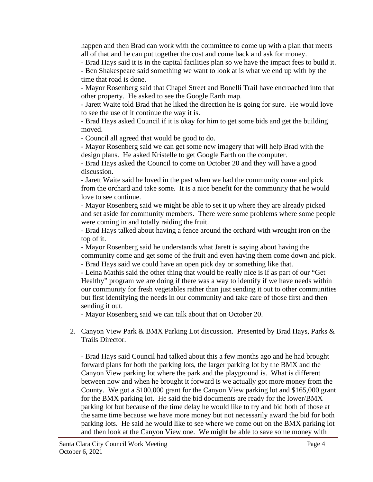happen and then Brad can work with the committee to come up with a plan that meets all of that and he can put together the cost and come back and ask for money.

- Brad Hays said it is in the capital facilities plan so we have the impact fees to build it.

- Ben Shakespeare said something we want to look at is what we end up with by the time that road is done.

- Mayor Rosenberg said that Chapel Street and Bonelli Trail have encroached into that other property. He asked to see the Google Earth map.

- Jarett Waite told Brad that he liked the direction he is going for sure. He would love to see the use of it continue the way it is.

- Brad Hays asked Council if it is okay for him to get some bids and get the building moved.

- Council all agreed that would be good to do.

- Mayor Rosenberg said we can get some new imagery that will help Brad with the design plans. He asked Kristelle to get Google Earth on the computer.

- Brad Hays asked the Council to come on October 20 and they will have a good discussion.

- Jarett Waite said he loved in the past when we had the community come and pick from the orchard and take some. It is a nice benefit for the community that he would love to see continue.

- Mayor Rosenberg said we might be able to set it up where they are already picked and set aside for community members. There were some problems where some people were coming in and totally raiding the fruit.

- Brad Hays talked about having a fence around the orchard with wrought iron on the top of it.

- Mayor Rosenberg said he understands what Jarett is saying about having the community come and get some of the fruit and even having them come down and pick.

- Brad Hays said we could have an open pick day or something like that.

- Leina Mathis said the other thing that would be really nice is if as part of our "Get Healthy" program we are doing if there was a way to identify if we have needs within our community for fresh vegetables rather than just sending it out to other communities but first identifying the needs in our community and take care of those first and then sending it out.

- Mayor Rosenberg said we can talk about that on October 20.

2. Canyon View Park & BMX Parking Lot discussion. Presented by Brad Hays, Parks & Trails Director.

- Brad Hays said Council had talked about this a few months ago and he had brought forward plans for both the parking lots, the larger parking lot by the BMX and the Canyon View parking lot where the park and the playground is. What is different between now and when he brought it forward is we actually got more money from the County. We got a \$100,000 grant for the Canyon View parking lot and \$165,000 grant for the BMX parking lot. He said the bid documents are ready for the lower/BMX parking lot but because of the time delay he would like to try and bid both of those at the same time because we have more money but not necessarily award the bid for both parking lots. He said he would like to see where we come out on the BMX parking lot and then look at the Canyon View one. We might be able to save some money with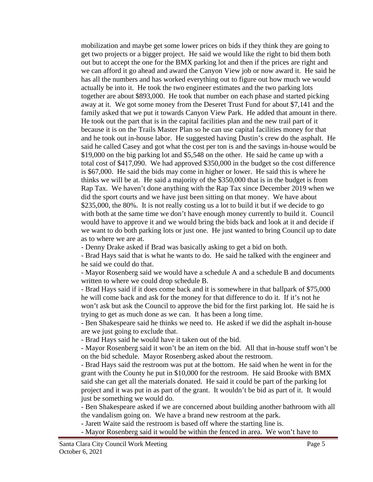mobilization and maybe get some lower prices on bids if they think they are going to get two projects or a bigger project. He said we would like the right to bid them both out but to accept the one for the BMX parking lot and then if the prices are right and we can afford it go ahead and award the Canyon View job or now award it. He said he has all the numbers and has worked everything out to figure out how much we would actually be into it. He took the two engineer estimates and the two parking lots together are about \$893,000. He took that number on each phase and started picking away at it. We got some money from the Deseret Trust Fund for about \$7,141 and the family asked that we put it towards Canyon View Park. He added that amount in there. He took out the part that is in the capital facilities plan and the new trail part of it because it is on the Trails Master Plan so he can use capital facilities money for that and he took out in-house labor. He suggested having Dustin's crew do the asphalt. He said he called Casey and got what the cost per ton is and the savings in-house would be \$19,000 on the big parking lot and \$5,548 on the other. He said he came up with a total cost of \$417,090. We had approved \$350,000 in the budget so the cost difference is \$67,000. He said the bids may come in higher or lower. He said this is where he thinks we will be at. He said a majority of the \$350,000 that is in the budget is from Rap Tax. We haven't done anything with the Rap Tax since December 2019 when we did the sport courts and we have just been sitting on that money. We have about \$235,000, the 80%. It is not really costing us a lot to build it but if we decide to go with both at the same time we don't have enough money currently to build it. Council would have to approve it and we would bring the bids back and look at it and decide if we want to do both parking lots or just one. He just wanted to bring Council up to date as to where we are at.

- Denny Drake asked if Brad was basically asking to get a bid on both.

- Brad Hays said that is what he wants to do. He said he talked with the engineer and he said we could do that.

- Mayor Rosenberg said we would have a schedule A and a schedule B and documents written to where we could drop schedule B.

- Brad Hays said if it does come back and it is somewhere in that ballpark of \$75,000 he will come back and ask for the money for that difference to do it. If it's not he won't ask but ask the Council to approve the bid for the first parking lot. He said he is trying to get as much done as we can. It has been a long time.

- Ben Shakespeare said he thinks we need to. He asked if we did the asphalt in-house are we just going to exclude that.

- Brad Hays said he would have it taken out of the bid.

- Mayor Rosenberg said it won't be an item on the bid. All that in-house stuff won't be on the bid schedule. Mayor Rosenberg asked about the restroom.

- Brad Hays said the restroom was put at the bottom. He said when he went in for the grant with the County he put in \$10,000 for the restroom. He said Brooke with BMX said she can get all the materials donated. He said it could be part of the parking lot project and it was put in as part of the grant. It wouldn't be bid as part of it. It would just be something we would do.

- Ben Shakespeare asked if we are concerned about building another bathroom with all the vandalism going on. We have a brand new restroom at the park.

- Jarett Waite said the restroom is based off where the starting line is.

- Mayor Rosenberg said it would be within the fenced in area. We won't have to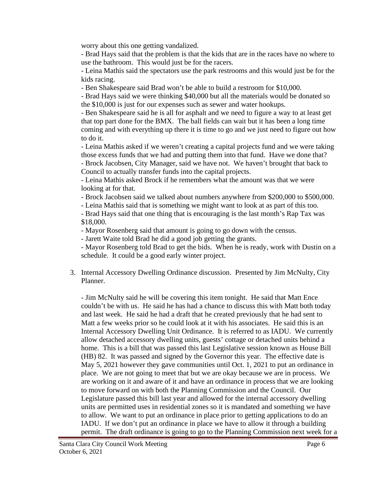worry about this one getting vandalized.

- Brad Hays said that the problem is that the kids that are in the races have no where to use the bathroom. This would just be for the racers.

- Leina Mathis said the spectators use the park restrooms and this would just be for the kids racing.

- Ben Shakespeare said Brad won't be able to build a restroom for \$10,000.

- Brad Hays said we were thinking \$40,000 but all the materials would be donated so the \$10,000 is just for our expenses such as sewer and water hookups.

- Ben Shakespeare said he is all for asphalt and we need to figure a way to at least get that top part done for the BMX. The ball fields can wait but it has been a long time coming and with everything up there it is time to go and we just need to figure out how to do it.

- Leina Mathis asked if we weren't creating a capital projects fund and we were taking those excess funds that we had and putting them into that fund. Have we done that?

- Brock Jacobsen, City Manager, said we have not. We haven't brought that back to Council to actually transfer funds into the capital projects.

- Leina Mathis asked Brock if he remembers what the amount was that we were looking at for that.

- Brock Jacobsen said we talked about numbers anywhere from \$200,000 to \$500,000.

- Leina Mathis said that is something we might want to look at as part of this too.

- Brad Hays said that one thing that is encouraging is the last month's Rap Tax was \$18,000.

- Mayor Rosenberg said that amount is going to go down with the census.

- Jarett Waite told Brad he did a good job getting the grants.

- Mayor Rosenberg told Brad to get the bids. When he is ready, work with Dustin on a schedule. It could be a good early winter project.

3. Internal Accessory Dwelling Ordinance discussion. Presented by Jim McNulty, City Planner.

- Jim McNulty said he will be covering this item tonight. He said that Matt Ence couldn't be with us. He said he has had a chance to discuss this with Matt both today and last week. He said he had a draft that he created previously that he had sent to Matt a few weeks prior so he could look at it with his associates. He said this is an Internal Accessory Dwelling Unit Ordinance. It is referred to as IADU. We currently allow detached accessory dwelling units, guests' cottage or detached units behind a home. This is a bill that was passed this last Legislative session known as House Bill (HB) 82. It was passed and signed by the Governor this year. The effective date is May 5, 2021 however they gave communities until Oct. 1, 2021 to put an ordinance in place. We are not going to meet that but we are okay because we are in process. We are working on it and aware of it and have an ordinance in process that we are looking to move forward on with both the Planning Commission and the Council. Our Legislature passed this bill last year and allowed for the internal accessory dwelling units are permitted uses in residential zones so it is mandated and something we have to allow. We want to put an ordinance in place prior to getting applications to do an IADU. If we don't put an ordinance in place we have to allow it through a building permit. The draft ordinance is going to go to the Planning Commission next week for a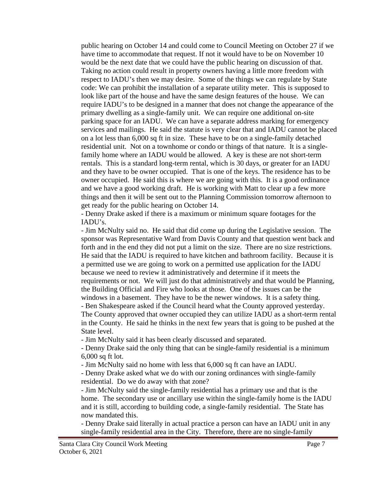public hearing on October 14 and could come to Council Meeting on October 27 if we have time to accommodate that request. If not it would have to be on November 10 would be the next date that we could have the public hearing on discussion of that. Taking no action could result in property owners having a little more freedom with respect to IADU's then we may desire. Some of the things we can regulate by State code: We can prohibit the installation of a separate utility meter. This is supposed to look like part of the house and have the same design features of the house. We can require IADU's to be designed in a manner that does not change the appearance of the primary dwelling as a single-family unit. We can require one additional on-site parking space for an IADU. We can have a separate address marking for emergency services and mailings. He said the statute is very clear that and IADU cannot be placed on a lot less than 6,000 sq ft in size. These have to be on a single-family detached residential unit. Not on a townhome or condo or things of that nature. It is a singlefamily home where an IADU would be allowed. A key is these are not short-term rentals. This is a standard long-term rental, which is 30 days, or greater for an IADU and they have to be owner occupied. That is one of the keys. The residence has to be owner occupied. He said this is where we are going with this. It is a good ordinance and we have a good working draft. He is working with Matt to clear up a few more things and then it will be sent out to the Planning Commission tomorrow afternoon to get ready for the public hearing on October 14.

- Denny Drake asked if there is a maximum or minimum square footages for the IADU's.

- Jim McNulty said no. He said that did come up during the Legislative session. The sponsor was Representative Ward from Davis County and that question went back and forth and in the end they did not put a limit on the size. There are no size restrictions. He said that the IADU is required to have kitchen and bathroom facility. Because it is a permitted use we are going to work on a permitted use application for the IADU because we need to review it administratively and determine if it meets the requirements or not. We will just do that administratively and that would be Planning, the Building Official and Fire who looks at those. One of the issues can be the windows in a basement. They have to be the newer windows. It is a safety thing. - Ben Shakespeare asked if the Council heard what the County approved yesterday. The County approved that owner occupied they can utilize IADU as a short-term rental in the County. He said he thinks in the next few years that is going to be pushed at the

State level.

- Jim McNulty said it has been clearly discussed and separated.

- Denny Drake said the only thing that can be single-family residential is a minimum 6,000 sq ft lot.

- Jim McNulty said no home with less that 6,000 sq ft can have an IADU.

- Denny Drake asked what we do with our zoning ordinances with single-family residential. Do we do away with that zone?

- Jim McNulty said the single-family residential has a primary use and that is the home. The secondary use or ancillary use within the single-family home is the IADU and it is still, according to building code, a single-family residential. The State has now mandated this.

- Denny Drake said literally in actual practice a person can have an IADU unit in any single-family residential area in the City. Therefore, there are no single-family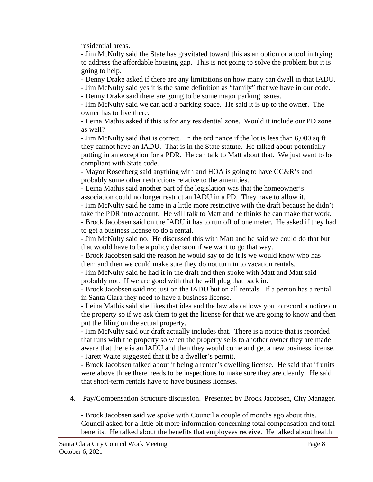residential areas.

- Jim McNulty said the State has gravitated toward this as an option or a tool in trying to address the affordable housing gap. This is not going to solve the problem but it is going to help.

- Denny Drake asked if there are any limitations on how many can dwell in that IADU.

- Jim McNulty said yes it is the same definition as "family" that we have in our code.

- Denny Drake said there are going to be some major parking issues.

- Jim McNulty said we can add a parking space. He said it is up to the owner. The owner has to live there.

- Leina Mathis asked if this is for any residential zone. Would it include our PD zone as well?

- Jim McNulty said that is correct. In the ordinance if the lot is less than 6,000 sq ft they cannot have an IADU. That is in the State statute. He talked about potentially putting in an exception for a PDR. He can talk to Matt about that. We just want to be compliant with State code.

- Mayor Rosenberg said anything with and HOA is going to have CC&R's and probably some other restrictions relative to the amenities.

- Leina Mathis said another part of the legislation was that the homeowner's association could no longer restrict an IADU in a PD. They have to allow it.

- Jim McNulty said he came in a little more restrictive with the draft because he didn't take the PDR into account. He will talk to Matt and he thinks he can make that work.

- Brock Jacobsen said on the IADU it has to run off of one meter. He asked if they had to get a business license to do a rental.

- Jim McNulty said no. He discussed this with Matt and he said we could do that but that would have to be a policy decision if we want to go that way.

- Brock Jacobsen said the reason he would say to do it is we would know who has them and then we could make sure they do not turn in to vacation rentals.

- Jim McNulty said he had it in the draft and then spoke with Matt and Matt said probably not. If we are good with that he will plug that back in.

- Brock Jacobsen said not just on the IADU but on all rentals. If a person has a rental in Santa Clara they need to have a business license.

- Leina Mathis said she likes that idea and the law also allows you to record a notice on the property so if we ask them to get the license for that we are going to know and then put the filing on the actual property.

- Jim McNulty said our draft actually includes that. There is a notice that is recorded that runs with the property so when the property sells to another owner they are made aware that there is an IADU and then they would come and get a new business license.

- Jarett Waite suggested that it be a dweller's permit.

- Brock Jacobsen talked about it being a renter's dwelling license. He said that if units were above three there needs to be inspections to make sure they are cleanly. He said that short-term rentals have to have business licenses.

4. Pay/Compensation Structure discussion. Presented by Brock Jacobsen, City Manager.

- Brock Jacobsen said we spoke with Council a couple of months ago about this. Council asked for a little bit more information concerning total compensation and total benefits. He talked about the benefits that employees receive. He talked about health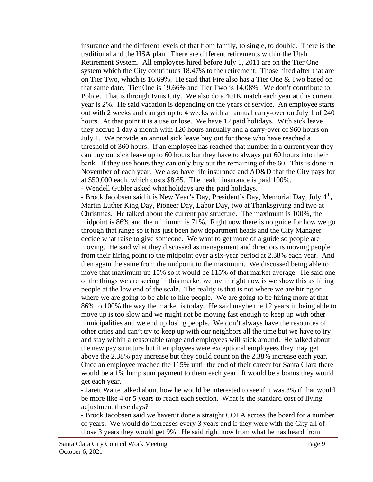insurance and the different levels of that from family, to single, to double. There is the traditional and the HSA plan. There are different retirements within the Utah Retirement System. All employees hired before July 1, 2011 are on the Tier One system which the City contributes 18.47% to the retirement. Those hired after that are on Tier Two, which is 16.69%. He said that Fire also has a Tier One & Two based on that same date. Tier One is 19.66% and Tier Two is 14.08%. We don't contribute to Police. That is through Ivins City. We also do a 401K match each year at this current year is 2%. He said vacation is depending on the years of service. An employee starts out with 2 weeks and can get up to 4 weeks with an annual carry-over on July 1 of 240 hours. At that point it is a use or lose. We have 12 paid holidays. With sick leave they accrue 1 day a month with 120 hours annually and a carry-over of 960 hours on July 1. We provide an annual sick leave buy out for those who have reached a threshold of 360 hours. If an employee has reached that number in a current year they can buy out sick leave up to 60 hours but they have to always put 60 hours into their bank. If they use hours they can only buy out the remaining of the 60. This is done in November of each year. We also have life insurance and AD&D that the City pays for at \$50,000 each, which costs \$8.65. The health insurance is paid 100%. - Wendell Gubler asked what holidays are the paid holidays.

- Brock Jacobsen said it is New Year's Day, President's Day, Memorial Day, July 4<sup>th</sup>, Martin Luther King Day, Pioneer Day, Labor Day, two at Thanksgiving and two at Christmas. He talked about the current pay structure. The maximum is 100%, the midpoint is 86% and the minimum is 71%. Right now there is no guide for how we go through that range so it has just been how department heads and the City Manager decide what raise to give someone. We want to get more of a guide so people are moving. He said what they discussed as management and directors is moving people from their hiring point to the midpoint over a six-year period at 2.38% each year. And then again the same from the midpoint to the maximum. We discussed being able to move that maximum up 15% so it would be 115% of that market average. He said one of the things we are seeing in this market we are in right now is we show this as hiring people at the low end of the scale. The reality is that is not where we are hiring or where we are going to be able to hire people. We are going to be hiring more at that 86% to 100% the way the market is today. He said maybe the 12 years in being able to move up is too slow and we might not be moving fast enough to keep up with other municipalities and we end up losing people. We don't always have the resources of other cities and can't try to keep up with our neighbors all the time but we have to try and stay within a reasonable range and employees will stick around. He talked about the new pay structure but if employees were exceptional employees they may get above the 2.38% pay increase but they could count on the 2.38% increase each year. Once an employee reached the 115% until the end of their career for Santa Clara there would be a 1% lump sum payment to them each year. It would be a bonus they would get each year.

- Jarett Waite talked about how he would be interested to see if it was 3% if that would be more like 4 or 5 years to reach each section. What is the standard cost of living adjustment these days?

- Brock Jacobsen said we haven't done a straight COLA across the board for a number of years. We would do increases every 3 years and if they were with the City all of those 3 years they would get 9%. He said right now from what he has heard from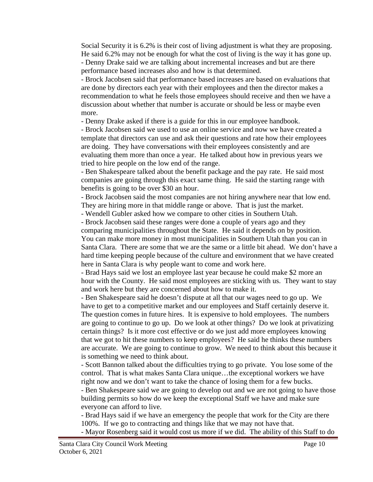Social Security it is 6.2% is their cost of living adjustment is what they are proposing. He said 6.2% may not be enough for what the cost of living is the way it has gone up. - Denny Drake said we are talking about incremental increases and but are there performance based increases also and how is that determined.

- Brock Jacobsen said that performance based increases are based on evaluations that are done by directors each year with their employees and then the director makes a recommendation to what he feels those employees should receive and then we have a discussion about whether that number is accurate or should be less or maybe even more.

- Denny Drake asked if there is a guide for this in our employee handbook.

- Brock Jacobsen said we used to use an online service and now we have created a template that directors can use and ask their questions and rate how their employees are doing. They have conversations with their employees consistently and are evaluating them more than once a year. He talked about how in previous years we tried to hire people on the low end of the range.

- Ben Shakespeare talked about the benefit package and the pay rate. He said most companies are going through this exact same thing. He said the starting range with benefits is going to be over \$30 an hour.

- Brock Jacobsen said the most companies are not hiring anywhere near that low end. They are hiring more in that middle range or above. That is just the market.

- Wendell Gubler asked how we compare to other cities in Southern Utah.

- Brock Jacobsen said these ranges were done a couple of years ago and they comparing municipalities throughout the State. He said it depends on by position. You can make more money in most municipalities in Southern Utah than you can in Santa Clara. There are some that we are the same or a little bit ahead. We don't have a hard time keeping people because of the culture and environment that we have created here in Santa Clara is why people want to come and work here.

- Brad Hays said we lost an employee last year because he could make \$2 more an hour with the County. He said most employees are sticking with us. They want to stay and work here but they are concerned about how to make it.

- Ben Shakespeare said he doesn't dispute at all that our wages need to go up. We have to get to a competitive market and our employees and Staff certainly deserve it. The question comes in future hires. It is expensive to hold employees. The numbers are going to continue to go up. Do we look at other things? Do we look at privatizing certain things? Is it more cost effective or do we just add more employees knowing that we got to hit these numbers to keep employees? He said he thinks these numbers are accurate. We are going to continue to grow. We need to think about this because it is something we need to think about.

- Scott Bannon talked about the difficulties trying to go private. You lose some of the control. That is what makes Santa Clara unique…the exceptional workers we have right now and we don't want to take the chance of losing them for a few bucks. - Ben Shakespeare said we are going to develop out and we are not going to have those building permits so how do we keep the exceptional Staff we have and make sure everyone can afford to live.

- Brad Hays said if we have an emergency the people that work for the City are there 100%. If we go to contracting and things like that we may not have that.

- Mayor Rosenberg said it would cost us more if we did. The ability of this Staff to do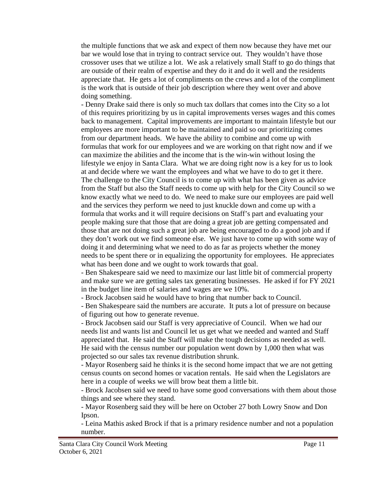the multiple functions that we ask and expect of them now because they have met our bar we would lose that in trying to contract service out. They wouldn't have those crossover uses that we utilize a lot. We ask a relatively small Staff to go do things that are outside of their realm of expertise and they do it and do it well and the residents appreciate that. He gets a lot of compliments on the crews and a lot of the compliment is the work that is outside of their job description where they went over and above doing something.

- Denny Drake said there is only so much tax dollars that comes into the City so a lot of this requires prioritizing by us in capital improvements verses wages and this comes back to management. Capital improvements are important to maintain lifestyle but our employees are more important to be maintained and paid so our prioritizing comes from our department heads. We have the ability to combine and come up with formulas that work for our employees and we are working on that right now and if we can maximize the abilities and the income that is the win-win without losing the lifestyle we enjoy in Santa Clara. What we are doing right now is a key for us to look at and decide where we want the employees and what we have to do to get it there. The challenge to the City Council is to come up with what has been given as advice from the Staff but also the Staff needs to come up with help for the City Council so we know exactly what we need to do. We need to make sure our employees are paid well and the services they perform we need to just knuckle down and come up with a formula that works and it will require decisions on Staff's part and evaluating your people making sure that those that are doing a great job are getting compensated and those that are not doing such a great job are being encouraged to do a good job and if they don't work out we find someone else. We just have to come up with some way of doing it and determining what we need to do as far as projects whether the money needs to be spent there or in equalizing the opportunity for employees. He appreciates what has been done and we ought to work towards that goal.

- Ben Shakespeare said we need to maximize our last little bit of commercial property and make sure we are getting sales tax generating businesses. He asked if for FY 2021 in the budget line item of salaries and wages are we 10%.

- Brock Jacobsen said he would have to bring that number back to Council.

- Ben Shakespeare said the numbers are accurate. It puts a lot of pressure on because of figuring out how to generate revenue.

- Brock Jacobsen said our Staff is very appreciative of Council. When we had our needs list and wants list and Council let us get what we needed and wanted and Staff appreciated that. He said the Staff will make the tough decisions as needed as well. He said with the census number our population went down by 1,000 then what was projected so our sales tax revenue distribution shrunk.

- Mayor Rosenberg said he thinks it is the second home impact that we are not getting census counts on second homes or vacation rentals. He said when the Legislators are here in a couple of weeks we will brow beat them a little bit.

- Brock Jacobsen said we need to have some good conversations with them about those things and see where they stand.

- Mayor Rosenberg said they will be here on October 27 both Lowry Snow and Don Ipson.

- Leina Mathis asked Brock if that is a primary residence number and not a population number.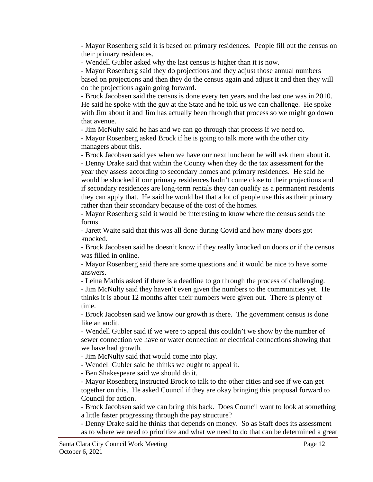- Mayor Rosenberg said it is based on primary residences. People fill out the census on their primary residences.

- Wendell Gubler asked why the last census is higher than it is now.

- Mayor Rosenberg said they do projections and they adjust those annual numbers based on projections and then they do the census again and adjust it and then they will do the projections again going forward.

- Brock Jacobsen said the census is done every ten years and the last one was in 2010. He said he spoke with the guy at the State and he told us we can challenge. He spoke with Jim about it and Jim has actually been through that process so we might go down that avenue.

- Jim McNulty said he has and we can go through that process if we need to.

- Mayor Rosenberg asked Brock if he is going to talk more with the other city managers about this.

- Brock Jacobsen said yes when we have our next luncheon he will ask them about it.

- Denny Drake said that within the County when they do the tax assessment for the year they assess according to secondary homes and primary residences. He said he would be shocked if our primary residences hadn't come close to their projections and if secondary residences are long-term rentals they can qualify as a permanent residents they can apply that. He said he would bet that a lot of people use this as their primary rather than their secondary because of the cost of the homes.

- Mayor Rosenberg said it would be interesting to know where the census sends the forms.

- Jarett Waite said that this was all done during Covid and how many doors got knocked.

- Brock Jacobsen said he doesn't know if they really knocked on doors or if the census was filled in online.

- Mayor Rosenberg said there are some questions and it would be nice to have some answers.

- Leina Mathis asked if there is a deadline to go through the process of challenging.

- Jim McNulty said they haven't even given the numbers to the communities yet. He thinks it is about 12 months after their numbers were given out. There is plenty of time.

- Brock Jacobsen said we know our growth is there. The government census is done like an audit.

- Wendell Gubler said if we were to appeal this couldn't we show by the number of sewer connection we have or water connection or electrical connections showing that we have had growth.

- Jim McNulty said that would come into play.

- Wendell Gubler said he thinks we ought to appeal it.

- Ben Shakespeare said we should do it.

- Mayor Rosenberg instructed Brock to talk to the other cities and see if we can get together on this. He asked Council if they are okay bringing this proposal forward to Council for action.

- Brock Jacobsen said we can bring this back. Does Council want to look at something a little faster progressing through the pay structure?

- Denny Drake said he thinks that depends on money. So as Staff does its assessment as to where we need to prioritize and what we need to do that can be determined a great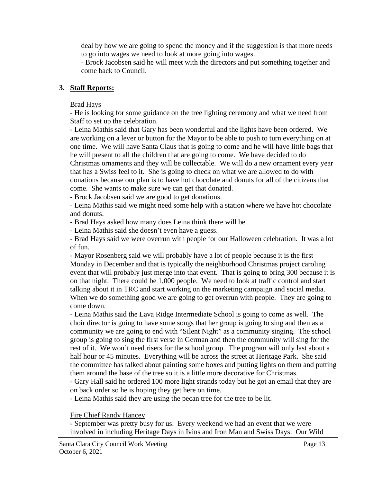deal by how we are going to spend the money and if the suggestion is that more needs to go into wages we need to look at more going into wages.

- Brock Jacobsen said he will meet with the directors and put something together and come back to Council.

## **3. Staff Reports:**

## Brad Hays

- He is looking for some guidance on the tree lighting ceremony and what we need from Staff to set up the celebration.

- Leina Mathis said that Gary has been wonderful and the lights have been ordered. We are working on a lever or button for the Mayor to be able to push to turn everything on at one time. We will have Santa Claus that is going to come and he will have little bags that he will present to all the children that are going to come. We have decided to do Christmas ornaments and they will be collectable. We will do a new ornament every year that has a Swiss feel to it. She is going to check on what we are allowed to do with donations because our plan is to have hot chocolate and donuts for all of the citizens that come. She wants to make sure we can get that donated.

- Brock Jacobsen said we are good to get donations.

- Leina Mathis said we might need some help with a station where we have hot chocolate and donuts.

- Brad Hays asked how many does Leina think there will be.

- Leina Mathis said she doesn't even have a guess.

- Brad Hays said we were overrun with people for our Halloween celebration. It was a lot of fun.

- Mayor Rosenberg said we will probably have a lot of people because it is the first Monday in December and that is typically the neighborhood Christmas project caroling event that will probably just merge into that event. That is going to bring 300 because it is on that night. There could be 1,000 people. We need to look at traffic control and start talking about it in TRC and start working on the marketing campaign and social media. When we do something good we are going to get overrun with people. They are going to come down.

- Leina Mathis said the Lava Ridge Intermediate School is going to come as well. The choir director is going to have some songs that her group is going to sing and then as a community we are going to end with "Silent Night" as a community singing. The school group is going to sing the first verse in German and then the community will sing for the rest of it. We won't need risers for the school group. The program will only last about a half hour or 45 minutes. Everything will be across the street at Heritage Park. She said the committee has talked about painting some boxes and putting lights on them and putting them around the base of the tree so it is a little more decorative for Christmas.

- Gary Hall said he ordered 100 more light strands today but he got an email that they are on back order so he is hoping they get here on time.

- Leina Mathis said they are using the pecan tree for the tree to be lit.

Fire Chief Randy Hancey

- September was pretty busy for us. Every weekend we had an event that we were involved in including Heritage Days in Ivins and Iron Man and Swiss Days. Our Wild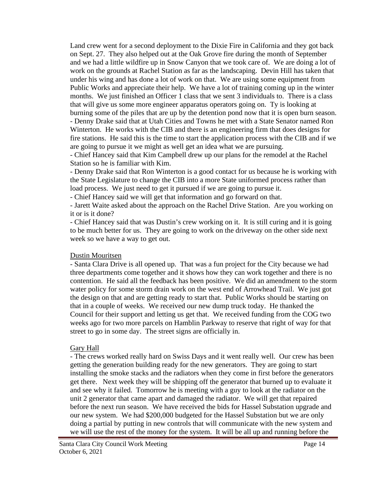Land crew went for a second deployment to the Dixie Fire in California and they got back on Sept. 27. They also helped out at the Oak Grove fire during the month of September and we had a little wildfire up in Snow Canyon that we took care of. We are doing a lot of work on the grounds at Rachel Station as far as the landscaping. Devin Hill has taken that under his wing and has done a lot of work on that. We are using some equipment from Public Works and appreciate their help. We have a lot of training coming up in the winter months. We just finished an Officer 1 class that we sent 3 individuals to. There is a class that will give us some more engineer apparatus operators going on. Ty is looking at burning some of the piles that are up by the detention pond now that it is open burn season. - Denny Drake said that at Utah Cities and Towns he met with a State Senator named Ron Winterton. He works with the CIB and there is an engineering firm that does designs for fire stations. He said this is the time to start the application process with the CIB and if we are going to pursue it we might as well get an idea what we are pursuing.

- Chief Hancey said that Kim Campbell drew up our plans for the remodel at the Rachel Station so he is familiar with Kim.

- Denny Drake said that Ron Winterton is a good contact for us because he is working with the State Legislature to change the CIB into a more State uniformed process rather than load process. We just need to get it pursued if we are going to pursue it.

- Chief Hancey said we will get that information and go forward on that.

- Jarett Waite asked about the approach on the Rachel Drive Station. Are you working on it or is it done?

- Chief Hancey said that was Dustin's crew working on it. It is still curing and it is going to be much better for us. They are going to work on the driveway on the other side next week so we have a way to get out.

### Dustin Mouritsen

- Santa Clara Drive is all opened up. That was a fun project for the City because we had three departments come together and it shows how they can work together and there is no contention. He said all the feedback has been positive. We did an amendment to the storm water policy for some storm drain work on the west end of Arrowhead Trail. We just got the design on that and are getting ready to start that. Public Works should be starting on that in a couple of weeks. We received our new dump truck today. He thanked the Council for their support and letting us get that. We received funding from the COG two weeks ago for two more parcels on Hamblin Parkway to reserve that right of way for that street to go in some day. The street signs are officially in.

### Gary Hall

- The crews worked really hard on Swiss Days and it went really well. Our crew has been getting the generation building ready for the new generators. They are going to start installing the smoke stacks and the radiators when they come in first before the generators get there. Next week they will be shipping off the generator that burned up to evaluate it and see why it failed. Tomorrow he is meeting with a guy to look at the radiator on the unit 2 generator that came apart and damaged the radiator. We will get that repaired before the next run season. We have received the bids for Hassel Substation upgrade and our new system. We had \$200,000 budgeted for the Hassel Substation but we are only doing a partial by putting in new controls that will communicate with the new system and we will use the rest of the money for the system. It will be all up and running before the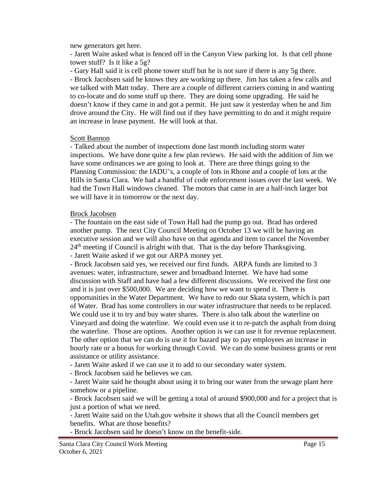new generators get here.

- Jarett Waite asked what is fenced off in the Canyon View parking lot. Is that cell phone tower stuff? Is it like a 5g?

- Gary Hall said it is cell phone tower stuff but he is not sure if there is any 5g there.

- Brock Jacobsen said he knows they are working up there. Jim has taken a few calls and we talked with Matt today. There are a couple of different carriers coming in and wanting to co-locate and do some stuff up there. They are doing some upgrading. He said he doesn't know if they came in and got a permit. He just saw it yesterday when he and Jim drove around the City. He will find out if they have permitting to do and it might require an increase in lease payment. He will look at that.

#### Scott Bannon

- Talked about the number of inspections done last month including storm water inspections. We have done quite a few plan reviews. He said with the addition of Jim we have some ordinances we are going to look at. There are three things going to the Planning Commission: the IADU's, a couple of lots in Rhone and a couple of lots at the Hills in Santa Clara. We had a handful of code enforcement issues over the last week. We had the Town Hall windows cleaned. The motors that came in are a half-inch larger but we will have it in tomorrow or the next day.

### Brock Jacobsen

- The fountain on the east side of Town Hall had the pump go out. Brad has ordered another pump. The next City Council Meeting on October 13 we will be having an executive session and we will also have on that agenda and item to cancel the November 24<sup>th</sup> meeting if Council is alright with that. That is the day before Thanksgiving.

- Jarett Waite asked if we got our ARPA money yet.

- Brock Jacobsen said yes, we received our first funds. ARPA funds are limited to 3 avenues: water, infrastructure, sewer and broadband Internet. We have had some discussion with Staff and have had a few different discussions. We received the first one and it is just over \$500,000. We are deciding how we want to spend it. There is opportunities in the Water Department. We have to redo our Skata system, which is part of Water. Brad has some controllers in our water infrastructure that needs to be replaced. We could use it to try and buy water shares. There is also talk about the waterline on Vineyard and doing the waterline. We could even use it to re-patch the asphalt from doing the waterline. Those are options. Another option is we can use it for revenue replacement. The other option that we can do is use it for hazard pay to pay employees an increase in hourly rate or a bonus for working through Covid. We can do some business grants or rent assistance or utility assistance.

- Jarett Waite asked if we can use it to add to our secondary water system.

- Brock Jacobsen said he believes we can.

- Jarett Waite said he thought about using it to bring our water from the sewage plant here somehow or a pipeline.

- Brock Jacobsen said we will be getting a total of around \$900,000 and for a project that is just a portion of what we need.

- Jarett Waite said on the Utah.gov website it shows that all the Council members get benefits. What are those benefits?

- Brock Jacobsen said he doesn't know on the benefit-side.